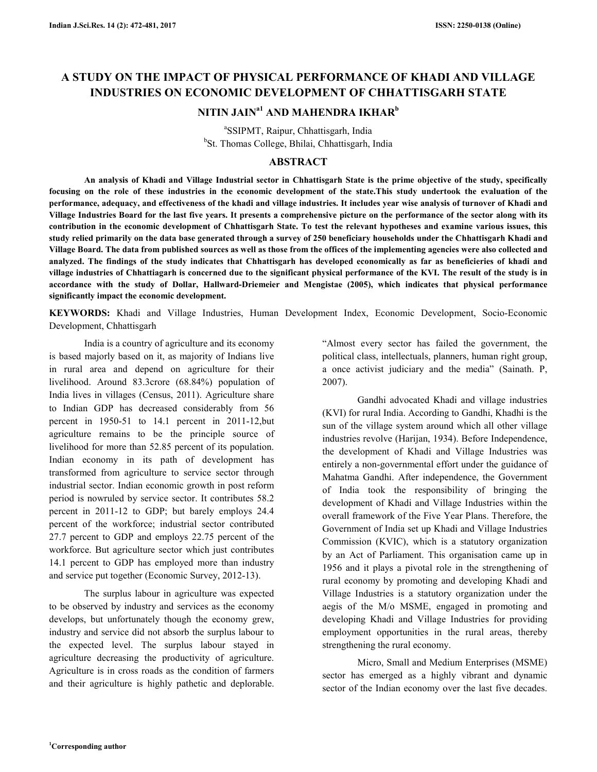# **A STUDY ON THE IMPACT OF PHYSICAL PERFORMANCE OF KHADI AND VILLAGE INDUSTRIES ON ECONOMIC DEVELOPMENT OF CHHATTISGARH STATE**

# **NITIN JAINa1 AND MAHENDRA IKHAR<sup>b</sup>**

a SSIPMT, Raipur, Chhattisgarh, India <sup>b</sup>St. Thomas College, Bhilai, Chhattisgarh, India

# **ABSTRACT**

 **An analysis of Khadi and Village Industrial sector in Chhattisgarh State is the prime objective of the study, specifically focusing on the role of these industries in the economic development of the state.This study undertook the evaluation of the performance, adequacy, and effectiveness of the khadi and village industries. It includes year wise analysis of turnover of Khadi and Village Industries Board for the last five years. It presents a comprehensive picture on the performance of the sector along with its contribution in the economic development of Chhattisgarh State. To test the relevant hypotheses and examine various issues, this study relied primarily on the data base generated through a survey of 250 beneficiary households under the Chhattisgarh Khadi and Village Board. The data from published sources as well as those from the offices of the implementing agencies were also collected and analyzed. The findings of the study indicates that Chhattisgarh has developed economically as far as beneficieries of khadi and village industries of Chhattiagarh is concerned due to the significant physical performance of the KVI. The result of the study is in accordance with the study of Dollar, Hallward-Driemeier and Mengistae (2005), which indicates that physical performance significantly impact the economic development.** 

**KEYWORDS:** Khadi and Village Industries, Human Development Index, Economic Development, Socio-Economic Development, Chhattisgarh

India is a country of agriculture and its economy is based majorly based on it, as majority of Indians live in rural area and depend on agriculture for their livelihood. Around 83.3crore (68.84%) population of India lives in villages (Census, 2011). Agriculture share to Indian GDP has decreased considerably from 56 percent in 1950-51 to 14.1 percent in 2011-12,but agriculture remains to be the principle source of livelihood for more than 52.85 percent of its population. Indian economy in its path of development has transformed from agriculture to service sector through industrial sector. Indian economic growth in post reform period is nowruled by service sector. It contributes 58.2 percent in 2011-12 to GDP; but barely employs 24.4 percent of the workforce; industrial sector contributed 27.7 percent to GDP and employs 22.75 percent of the workforce. But agriculture sector which just contributes 14.1 percent to GDP has employed more than industry and service put together (Economic Survey, 2012-13).

The surplus labour in agriculture was expected to be observed by industry and services as the economy develops, but unfortunately though the economy grew, industry and service did not absorb the surplus labour to the expected level. The surplus labour stayed in agriculture decreasing the productivity of agriculture. Agriculture is in cross roads as the condition of farmers and their agriculture is highly pathetic and deplorable. "Almost every sector has failed the government, the political class, intellectuals, planners, human right group, a once activist judiciary and the media" (Sainath. P, 2007).

Gandhi advocated Khadi and village industries (KVI) for rural India. According to Gandhi, Khadhi is the sun of the village system around which all other village industries revolve (Harijan, 1934). Before Independence, the development of Khadi and Village Industries was entirely a non-governmental effort under the guidance of Mahatma Gandhi. After independence, the Government of India took the responsibility of bringing the development of Khadi and Village Industries within the overall framework of the Five Year Plans. Therefore, the Government of India set up Khadi and Village Industries Commission (KVIC), which is a statutory organization by an Act of Parliament. This organisation came up in 1956 and it plays a pivotal role in the strengthening of rural economy by promoting and developing Khadi and Village Industries is a statutory organization under the aegis of the M/o MSME, engaged in promoting and developing Khadi and Village Industries for providing employment opportunities in the rural areas, thereby strengthening the rural economy.

Micro, Small and Medium Enterprises (MSME) sector has emerged as a highly vibrant and dynamic sector of the Indian economy over the last five decades.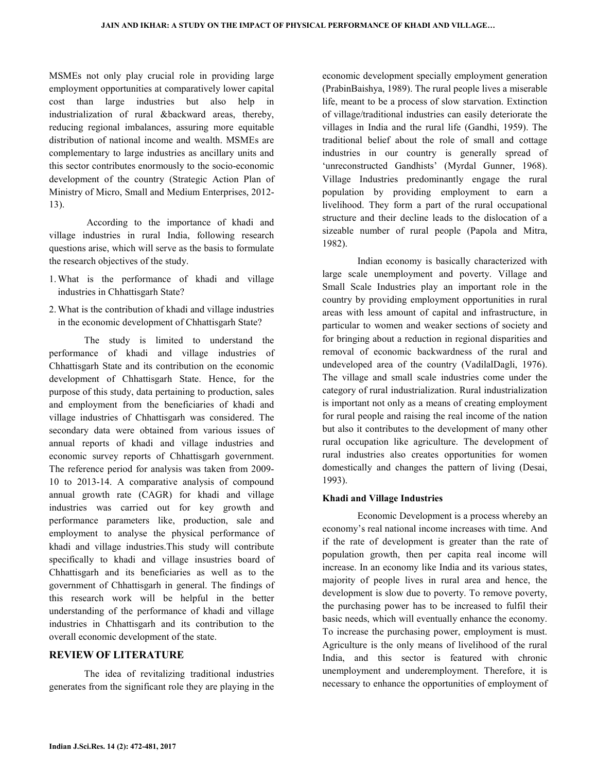MSMEs not only play crucial role in providing large employment opportunities at comparatively lower capital cost than large industries but also help in industrialization of rural &backward areas, thereby, reducing regional imbalances, assuring more equitable distribution of national income and wealth. MSMEs are complementary to large industries as ancillary units and this sector contributes enormously to the socio-economic development of the country (Strategic Action Plan of Ministry of Micro, Small and Medium Enterprises, 2012- 13).

 According to the importance of khadi and village industries in rural India, following research questions arise, which will serve as the basis to formulate the research objectives of the study.

- 1.What is the performance of khadi and village industries in Chhattisgarh State?
- 2.What is the contribution of khadi and village industries in the economic development of Chhattisgarh State?

 The study is limited to understand the performance of khadi and village industries of Chhattisgarh State and its contribution on the economic development of Chhattisgarh State. Hence, for the purpose of this study, data pertaining to production, sales and employment from the beneficiaries of khadi and village industries of Chhattisgarh was considered. The secondary data were obtained from various issues of annual reports of khadi and village industries and economic survey reports of Chhattisgarh government. The reference period for analysis was taken from 2009- 10 to 2013-14. A comparative analysis of compound annual growth rate (CAGR) for khadi and village industries was carried out for key growth and performance parameters like, production, sale and employment to analyse the physical performance of khadi and village industries.This study will contribute specifically to khadi and village insustries board of Chhattisgarh and its beneficiaries as well as to the government of Chhattisgarh in general. The findings of this research work will be helpful in the better understanding of the performance of khadi and village industries in Chhattisgarh and its contribution to the overall economic development of the state.

#### **REVIEW OF LITERATURE**

The idea of revitalizing traditional industries generates from the significant role they are playing in the economic development specially employment generation (PrabinBaishya, 1989). The rural people lives a miserable life, meant to be a process of slow starvation. Extinction of village/traditional industries can easily deteriorate the villages in India and the rural life (Gandhi, 1959). The traditional belief about the role of small and cottage industries in our country is generally spread of 'unreconstructed Gandhists' (Myrdal Gunner, 1968). Village Industries predominantly engage the rural population by providing employment to earn a livelihood. They form a part of the rural occupational structure and their decline leads to the dislocation of a sizeable number of rural people (Papola and Mitra, 1982).

Indian economy is basically characterized with large scale unemployment and poverty. Village and Small Scale Industries play an important role in the country by providing employment opportunities in rural areas with less amount of capital and infrastructure, in particular to women and weaker sections of society and for bringing about a reduction in regional disparities and removal of economic backwardness of the rural and undeveloped area of the country (VadilalDagli, 1976). The village and small scale industries come under the category of rural industrialization. Rural industrialization is important not only as a means of creating employment for rural people and raising the real income of the nation but also it contributes to the development of many other rural occupation like agriculture. The development of rural industries also creates opportunities for women domestically and changes the pattern of living (Desai, 1993).

#### **Khadi and Village Industries**

 Economic Development is a process whereby an economy's real national income increases with time. And if the rate of development is greater than the rate of population growth, then per capita real income will increase. In an economy like India and its various states, majority of people lives in rural area and hence, the development is slow due to poverty. To remove poverty, the purchasing power has to be increased to fulfil their basic needs, which will eventually enhance the economy. To increase the purchasing power, employment is must. Agriculture is the only means of livelihood of the rural India, and this sector is featured with chronic unemployment and underemployment. Therefore, it is necessary to enhance the opportunities of employment of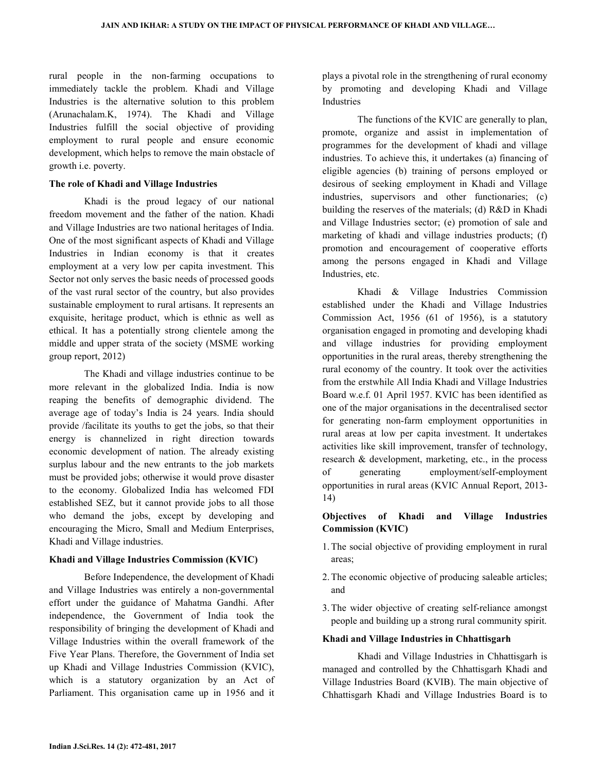rural people in the non-farming occupations to immediately tackle the problem. Khadi and Village Industries is the alternative solution to this problem (Arunachalam.K, 1974). The Khadi and Village Industries fulfill the social objective of providing employment to rural people and ensure economic development, which helps to remove the main obstacle of growth i.e. poverty.

### **The role of Khadi and Village Industries**

 Khadi is the proud legacy of our national freedom movement and the father of the nation. Khadi and Village Industries are two national heritages of India. One of the most significant aspects of Khadi and Village Industries in Indian economy is that it creates employment at a very low per capita investment. This Sector not only serves the basic needs of processed goods of the vast rural sector of the country, but also provides sustainable employment to rural artisans. It represents an exquisite, heritage product, which is ethnic as well as ethical. It has a potentially strong clientele among the middle and upper strata of the society (MSME working group report, 2012)

The Khadi and village industries continue to be more relevant in the globalized India. India is now reaping the benefits of demographic dividend. The average age of today's India is 24 years. India should provide /facilitate its youths to get the jobs, so that their energy is channelized in right direction towards economic development of nation. The already existing surplus labour and the new entrants to the job markets must be provided jobs; otherwise it would prove disaster to the economy. Globalized India has welcomed FDI established SEZ, but it cannot provide jobs to all those who demand the jobs, except by developing and encouraging the Micro, Small and Medium Enterprises, Khadi and Village industries.

#### **Khadi and Village Industries Commission (KVIC)**

 Before Independence, the development of Khadi and Village Industries was entirely a non-governmental effort under the guidance of Mahatma Gandhi. After independence, the Government of India took the responsibility of bringing the development of Khadi and Village Industries within the overall framework of the Five Year Plans. Therefore, the Government of India set up Khadi and Village Industries Commission (KVIC), which is a statutory organization by an Act of Parliament. This organisation came up in 1956 and it plays a pivotal role in the strengthening of rural economy by promoting and developing Khadi and Village Industries

The functions of the KVIC are generally to plan, promote, organize and assist in implementation of programmes for the development of khadi and village industries. To achieve this, it undertakes (a) financing of eligible agencies (b) training of persons employed or desirous of seeking employment in Khadi and Village industries, supervisors and other functionaries; (c) building the reserves of the materials; (d) R&D in Khadi and Village Industries sector; (e) promotion of sale and marketing of khadi and village industries products; (f) promotion and encouragement of cooperative efforts among the persons engaged in Khadi and Village Industries, etc.

Khadi & Village Industries Commission established under the Khadi and Village Industries Commission Act, 1956 (61 of 1956), is a statutory organisation engaged in promoting and developing khadi and village industries for providing employment opportunities in the rural areas, thereby strengthening the rural economy of the country. It took over the activities from the erstwhile All India Khadi and Village Industries Board w.e.f. 01 April 1957. KVIC has been identified as one of the major organisations in the decentralised sector for generating non-farm employment opportunities in rural areas at low per capita investment. It undertakes activities like skill improvement, transfer of technology, research & development, marketing, etc., in the process of generating employment/self-employment opportunities in rural areas (KVIC Annual Report, 2013- 14)

# **Objectives of Khadi and Village Industries Commission (KVIC)**

- 1.The social objective of providing employment in rural areas;
- 2.The economic objective of producing saleable articles; and
- 3.The wider objective of creating self-reliance amongst people and building up a strong rural community spirit.

#### **Khadi and Village Industries in Chhattisgarh**

 Khadi and Village Industries in Chhattisgarh is managed and controlled by the Chhattisgarh Khadi and Village Industries Board (KVIB). The main objective of Chhattisgarh Khadi and Village Industries Board is to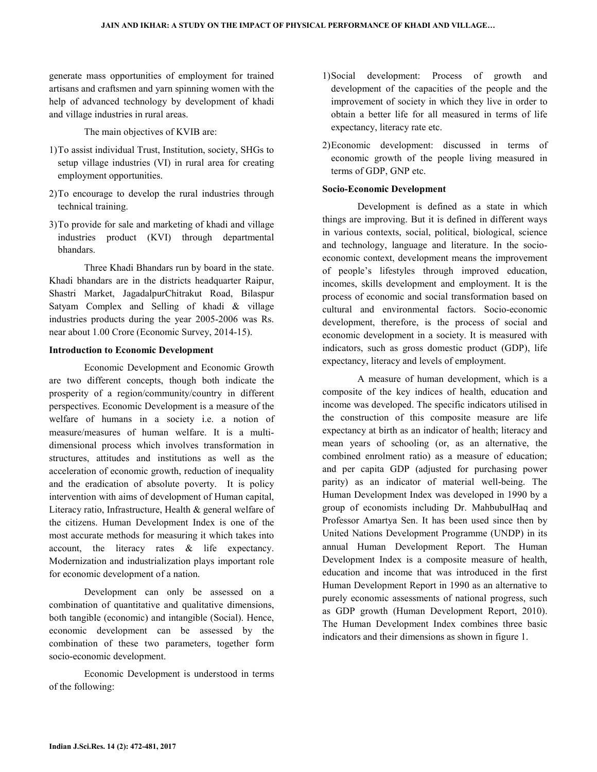generate mass opportunities of employment for trained artisans and craftsmen and yarn spinning women with the help of advanced technology by development of khadi and village industries in rural areas.

The main objectives of KVIB are:

- 1)To assist individual Trust, Institution, society, SHGs to setup village industries (VI) in rural area for creating employment opportunities.
- 2)To encourage to develop the rural industries through technical training.
- 3)To provide for sale and marketing of khadi and village industries product (KVI) through departmental bhandars.

 Three Khadi Bhandars run by board in the state. Khadi bhandars are in the districts headquarter Raipur, Shastri Market, JagadalpurChitrakut Road, Bilaspur Satyam Complex and Selling of khadi & village industries products during the year 2005-2006 was Rs. near about 1.00 Crore (Economic Survey, 2014-15).

#### **Introduction to Economic Development**

 Economic Development and Economic Growth are two different concepts, though both indicate the prosperity of a region/community/country in different perspectives. Economic Development is a measure of the welfare of humans in a society i.e. a notion of measure/measures of human welfare. It is a multidimensional process which involves transformation in structures, attitudes and institutions as well as the acceleration of economic growth, reduction of inequality and the eradication of absolute poverty. It is policy intervention with aims of development of Human capital, Literacy ratio, Infrastructure, Health & general welfare of the citizens. Human Development Index is one of the most accurate methods for measuring it which takes into account, the literacy rates & life expectancy. Modernization and industrialization plays important role for economic development of a nation.

Development can only be assessed on a combination of quantitative and qualitative dimensions, both tangible (economic) and intangible (Social). Hence, economic development can be assessed by the combination of these two parameters, together form socio-economic development.

 Economic Development is understood in terms of the following:

- 1)Social development: Process of growth and development of the capacities of the people and the improvement of society in which they live in order to obtain a better life for all measured in terms of life expectancy, literacy rate etc.
- 2)Economic development: discussed in terms of economic growth of the people living measured in terms of GDP, GNP etc.

# **Socio-Economic Development**

 Development is defined as a state in which things are improving. But it is defined in different ways in various contexts, social, political, biological, science and technology, language and literature. In the socioeconomic context, development means the improvement of people's lifestyles through improved education, incomes, skills development and employment. It is the process of economic and social transformation based on cultural and environmental factors. Socio-economic development, therefore, is the process of social and economic development in a society. It is measured with indicators, such as gross domestic product (GDP), life expectancy, literacy and levels of employment.

A measure of human development, which is a composite of the key indices of health, education and income was developed. The specific indicators utilised in the construction of this composite measure are life expectancy at birth as an indicator of health; literacy and mean years of schooling (or, as an alternative, the combined enrolment ratio) as a measure of education; and per capita GDP (adjusted for purchasing power parity) as an indicator of material well-being. The Human Development Index was developed in 1990 by a group of economists including Dr. MahbubulHaq and Professor Amartya Sen. It has been used since then by United Nations Development Programme (UNDP) in its annual Human Development Report. The Human Development Index is a composite measure of health, education and income that was introduced in the first Human Development Report in 1990 as an alternative to purely economic assessments of national progress, such as GDP growth (Human Development Report, 2010). The Human Development Index combines three basic indicators and their dimensions as shown in figure 1.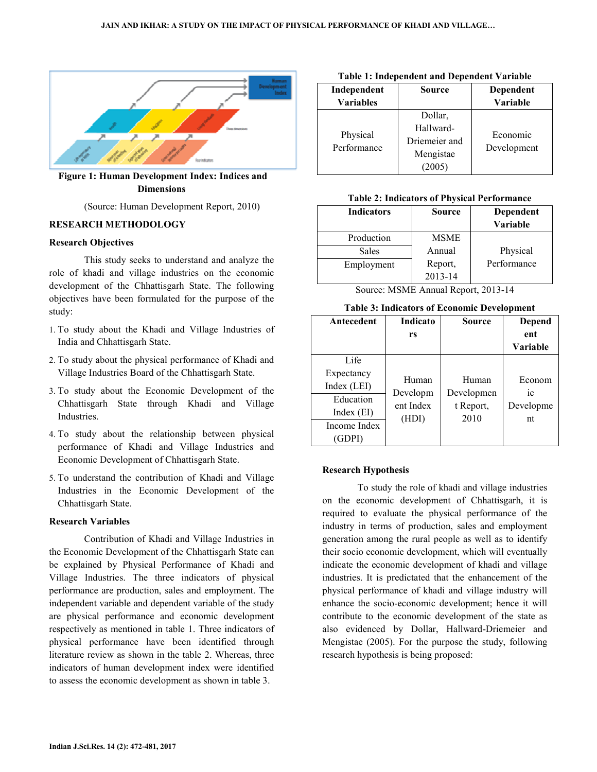

 **Figure 1: Human Development Index: Indices and Dimensions**

(Source: Human Development Report, 2010)

# **RESEARCH METHODOLOGY**

#### **Research Objectives**

 This study seeks to understand and analyze the role of khadi and village industries on the economic development of the Chhattisgarh State. The following objectives have been formulated for the purpose of the study:

- 1. To study about the Khadi and Village Industries of India and Chhattisgarh State.
- 2. To study about the physical performance of Khadi and Village Industries Board of the Chhattisgarh State.
- 3. To study about the Economic Development of the Chhattisgarh State through Khadi and Village Industries.
- 4. To study about the relationship between physical performance of Khadi and Village Industries and Economic Development of Chhattisgarh State.
- 5. To understand the contribution of Khadi and Village Industries in the Economic Development of the Chhattisgarh State.

## **Research Variables**

 Contribution of Khadi and Village Industries in the Economic Development of the Chhattisgarh State can be explained by Physical Performance of Khadi and Village Industries. The three indicators of physical performance are production, sales and employment. The independent variable and dependent variable of the study are physical performance and economic development respectively as mentioned in table 1. Three indicators of physical performance have been identified through literature review as shown in the table 2. Whereas, three indicators of human development index were identified to assess the economic development as shown in table 3.

**Table 1: Independent and Dependent Variable** 

| Independent<br><b>Variables</b> | <b>Source</b>                                      | Dependent<br><b>Variable</b> |
|---------------------------------|----------------------------------------------------|------------------------------|
| Physical<br>Performance         | Dollar,<br>Hallward-<br>Driemeier and<br>Mengistae | Economic<br>Development      |

**Table 2: Indicators of Physical Performance** 

| <b>Indicators</b> | <b>Source</b> | Dependent<br><b>Variable</b> |
|-------------------|---------------|------------------------------|
| Production        | <b>MSME</b>   |                              |
| Sales             | Annual        | Physical                     |
| Employment        | Report,       | Performance                  |
|                   | 2013-14       |                              |

Source: MSME Annual Report, 2013-14

#### **Table 3: Indicators of Economic Development**

| Antecedent   | Indicato  | <b>Source</b> | Depend          |
|--------------|-----------|---------------|-----------------|
|              | rs        |               | ent             |
|              |           |               | <b>Variable</b> |
| Life         |           |               |                 |
| Expectancy   |           |               |                 |
| Index (LEI)  | Human     | Human         | Econom          |
| Education    | Developm  | Developmen    | ic              |
| Index $(EI)$ | ent Index | t Report,     | Developme       |
| Income Index | (HDI)     | 2010          | nt              |
| (GDPI)       |           |               |                 |

#### **Research Hypothesis**

 To study the role of khadi and village industries on the economic development of Chhattisgarh, it is required to evaluate the physical performance of the industry in terms of production, sales and employment generation among the rural people as well as to identify their socio economic development, which will eventually indicate the economic development of khadi and village industries. It is predictated that the enhancement of the physical performance of khadi and village industry will enhance the socio-economic development; hence it will contribute to the economic development of the state as also evidenced by Dollar, Hallward-Driemeier and Mengistae (2005). For the purpose the study, following research hypothesis is being proposed: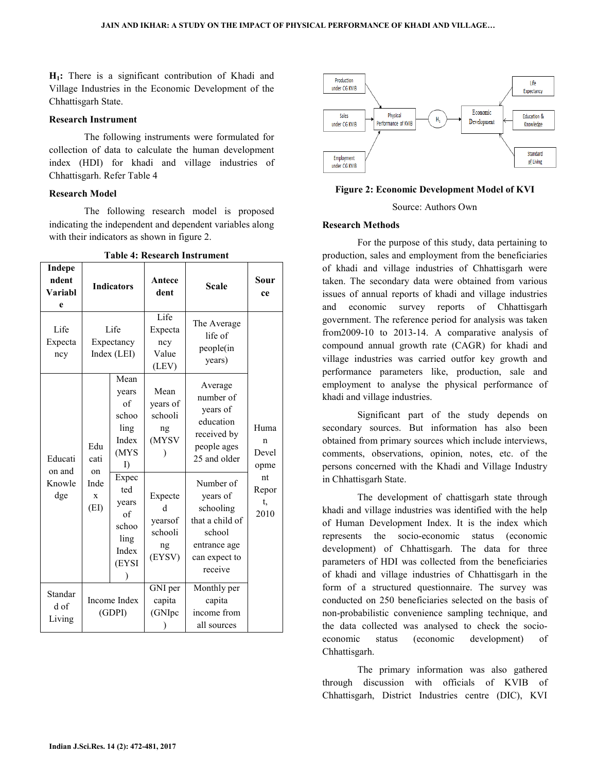**H1:** There is a significant contribution of Khadi and Village Industries in the Economic Development of the Chhattisgarh State.

#### **Research Instrument**

 The following instruments were formulated for collection of data to calculate the human development index (HDI) for khadi and village industries of Chhattisgarh. Refer Table 4

# **Research Model**

 The following research model is proposed indicating the independent and dependent variables along with their indicators as shown in figure 2.

| Indepe<br>ndent<br><b>Variabl</b><br>e                           | <b>Indicators</b>                 |                                                                | Antece<br>dent                                     | Scale                                                                                                       | Sour<br>ce                                              |
|------------------------------------------------------------------|-----------------------------------|----------------------------------------------------------------|----------------------------------------------------|-------------------------------------------------------------------------------------------------------------|---------------------------------------------------------|
| Life<br>Expecta<br>ncy                                           | Life<br>Expectancy<br>Index (LEI) |                                                                | Life<br>Expecta<br>ncy<br>Value<br>(LEV)           | The Average<br>life of<br>people(in<br>years)                                                               |                                                         |
| Educati<br>on and<br>$_{\rm on}$<br>Knowle<br>dge<br>$\mathbf x$ | Edu<br>cati                       | Mean<br>years<br>of<br>schoo<br>ling<br>Index<br>(MYS<br>I)    | Mean<br>vears of<br>schooli<br>ng<br>(MYSV         | Average<br>number of<br>years of<br>education<br>received by<br>people ages<br>25 and older                 | Huma<br>n<br>Devel<br>opme<br>nt<br>Repor<br>t.<br>2010 |
|                                                                  | Inde<br>(EI)                      | Expec<br>ted<br>years<br>of<br>schoo<br>ling<br>Index<br>(EYSI | Expecte<br>d<br>yearsof<br>schooli<br>ng<br>(EYSV) | Number of<br>years of<br>schooling<br>that a child of<br>school<br>entrance age<br>can expect to<br>receive |                                                         |
| Standar<br>d of<br>Living                                        |                                   | Income Index<br>(GDPI)                                         | GNI per<br>capita<br>(GNIpc                        | Monthly per<br>capita<br>income from<br>all sources                                                         |                                                         |

**Table 4: Research Instrument** 



#### **Figure 2: Economic Development Model of KVI**

Source: Authors Own

### **Research Methods**

 For the purpose of this study, data pertaining to production, sales and employment from the beneficiaries of khadi and village industries of Chhattisgarh were taken. The secondary data were obtained from various issues of annual reports of khadi and village industries and economic survey reports of Chhattisgarh government. The reference period for analysis was taken from2009-10 to 2013-14. A comparative analysis of compound annual growth rate (CAGR) for khadi and village industries was carried outfor key growth and performance parameters like, production, sale and employment to analyse the physical performance of khadi and village industries.

Significant part of the study depends on secondary sources. But information has also been obtained from primary sources which include interviews, comments, observations, opinion, notes, etc. of the persons concerned with the Khadi and Village Industry in Chhattisgarh State.

The development of chattisgarh state through khadi and village industries was identified with the help of Human Development Index. It is the index which represents the socio-economic status (economic development) of Chhattisgarh. The data for three parameters of HDI was collected from the beneficiaries of khadi and village industries of Chhattisgarh in the form of a structured questionnaire. The survey was conducted on 250 beneficiaries selected on the basis of non-probabilistic convenience sampling technique, and the data collected was analysed to check the socioeconomic status (economic development) of Chhattisgarh.

The primary information was also gathered through discussion with officials of KVIB of Chhattisgarh, District Industries centre (DIC), KVI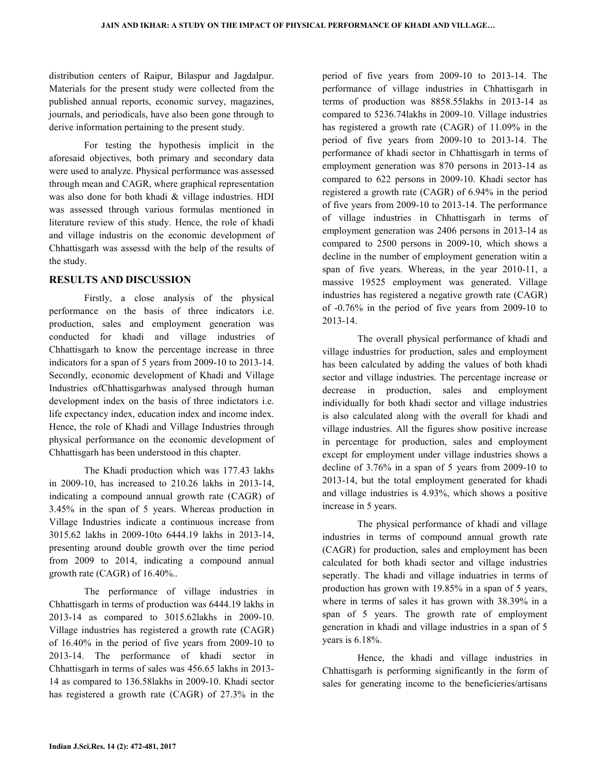distribution centers of Raipur, Bilaspur and Jagdalpur. Materials for the present study were collected from the published annual reports, economic survey, magazines, journals, and periodicals, have also been gone through to derive information pertaining to the present study.

For testing the hypothesis implicit in the aforesaid objectives, both primary and secondary data were used to analyze. Physical performance was assessed through mean and CAGR, where graphical representation was also done for both khadi & village industries. HDI was assessed through various formulas mentioned in literature review of this study. Hence, the role of khadi and village industris on the economic development of Chhattisgarh was assessd with the help of the results of the study.

# **RESULTS AND DISCUSSION**

 Firstly, a close analysis of the physical performance on the basis of three indicators i.e. production, sales and employment generation was conducted for khadi and village industries of Chhattisgarh to know the percentage increase in three indicators for a span of 5 years from 2009-10 to 2013-14. Secondly, economic development of Khadi and Village Industries ofChhattisgarhwas analysed through human development index on the basis of three indictators i.e. life expectancy index, education index and income index. Hence, the role of Khadi and Village Industries through physical performance on the economic development of Chhattisgarh has been understood in this chapter.

The Khadi production which was 177.43 lakhs in 2009-10, has increased to 210.26 lakhs in 2013-14, indicating a compound annual growth rate (CAGR) of 3.45% in the span of 5 years. Whereas production in Village Industries indicate a continuous increase from 3015.62 lakhs in 2009-10to 6444.19 lakhs in 2013-14, presenting around double growth over the time period from 2009 to 2014, indicating a compound annual growth rate (CAGR) of 16.40%..

The performance of village industries in Chhattisgarh in terms of production was 6444.19 lakhs in 2013-14 as compared to 3015.62lakhs in 2009-10. Village industries has registered a growth rate (CAGR) of 16.40% in the period of five years from 2009-10 to 2013-14. The performance of khadi sector in Chhattisgarh in terms of sales was 456.65 lakhs in 2013- 14 as compared to 136.58lakhs in 2009-10. Khadi sector has registered a growth rate (CAGR) of 27.3% in the

period of five years from 2009-10 to 2013-14. The performance of village industries in Chhattisgarh in terms of production was 8858.55lakhs in 2013-14 as compared to 5236.74lakhs in 2009-10. Village industries has registered a growth rate (CAGR) of 11.09% in the period of five years from 2009-10 to 2013-14. The performance of khadi sector in Chhattisgarh in terms of employment generation was 870 persons in 2013-14 as compared to 622 persons in 2009-10. Khadi sector has registered a growth rate (CAGR) of 6.94% in the period of five years from 2009-10 to 2013-14. The performance of village industries in Chhattisgarh in terms of employment generation was 2406 persons in 2013-14 as compared to 2500 persons in 2009-10, which shows a decline in the number of employment generation witin a span of five years. Whereas, in the year 2010-11, a massive 19525 employment was generated. Village industries has registered a negative growth rate (CAGR) of -0.76% in the period of five years from 2009-10 to 2013-14.

The overall physical performance of khadi and village industries for production, sales and employment has been calculated by adding the values of both khadi sector and village industries. The percentage increase or decrease in production, sales and employment individually for both khadi sector and village industries is also calculated along with the overall for khadi and village industries. All the figures show positive increase in percentage for production, sales and employment except for employment under village industries shows a decline of 3.76% in a span of 5 years from 2009-10 to 2013-14, but the total employment generated for khadi and village industries is 4.93%, which shows a positive increase in 5 years.

The physical performance of khadi and village industries in terms of compound annual growth rate (CAGR) for production, sales and employment has been calculated for both khadi sector and village industries seperatly. The khadi and village induatries in terms of production has grown with 19.85% in a span of 5 years, where in terms of sales it has grown with 38.39% in a span of 5 years. The growth rate of employment generation in khadi and village industries in a span of 5 years is 6.18%.

Hence, the khadi and village industries in Chhattisgarh is performing significantly in the form of sales for generating income to the beneficieries/artisans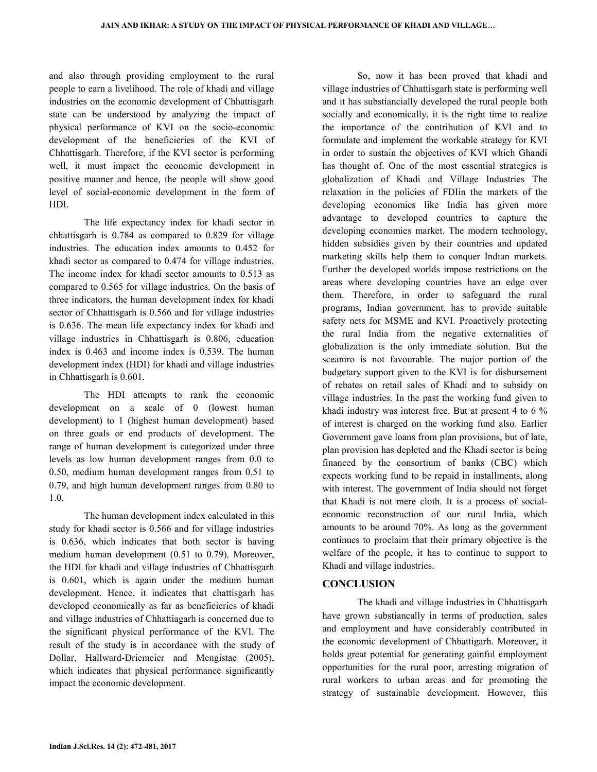and also through providing employment to the rural people to earn a livelihood. The role of khadi and village industries on the economic development of Chhattisgarh state can be understood by analyzing the impact of physical performance of KVI on the socio-economic development of the beneficieries of the KVI of Chhattisgarh. Therefore, if the KVI sector is performing well, it must impact the economic development in positive manner and hence, the people will show good level of social-economic development in the form of HDI.

 The life expectancy index for khadi sector in chhattisgarh is 0.784 as compared to 0.829 for village industries. The education index amounts to 0.452 for khadi sector as compared to 0.474 for village industries. The income index for khadi sector amounts to 0.513 as compared to 0.565 for village industries. On the basis of three indicators, the human development index for khadi sector of Chhattisgarh is 0.566 and for village industries is 0.636. The mean life expectancy index for khadi and village industries in Chhattisgarh is 0.806, education index is 0.463 and income index is 0.539. The human development index (HDI) for khadi and village industries in Chhattisgarh is 0.601.

The HDI attempts to rank the economic development on a scale of 0 (lowest human development) to 1 (highest human development) based on three goals or end products of development. The range of human development is categorized under three levels as low human development ranges from 0.0 to 0.50, medium human development ranges from 0.51 to 0.79, and high human development ranges from 0.80 to 1.0.

The human development index calculated in this study for khadi sector is 0.566 and for village industries is 0.636, which indicates that both sector is having medium human development (0.51 to 0.79). Moreover, the HDI for khadi and village industries of Chhattisgarh is 0.601, which is again under the medium human development. Hence, it indicates that chattisgarh has developed economically as far as beneficieries of khadi and village industries of Chhattiagarh is concerned due to the significant physical performance of the KVI. The result of the study is in accordance with the study of Dollar, Hallward-Driemeier and Mengistae (2005), which indicates that physical performance significantly impact the economic development.

So, now it has been proved that khadi and village industries of Chhattisgarh state is performing well and it has substiancially developed the rural people both socially and economically, it is the right time to realize the importance of the contribution of KVI and to formulate and implement the workable strategy for KVI in order to sustain the objectives of KVI which Ghandi has thought of. One of the most essential strategies is globalization of Khadi and Village Industries The relaxation in the policies of FDIin the markets of the developing economies like India has given more advantage to developed countries to capture the developing economies market. The modern technology, hidden subsidies given by their countries and updated marketing skills help them to conquer Indian markets. Further the developed worlds impose restrictions on the areas where developing countries have an edge over them. Therefore, in order to safeguard the rural programs, Indian government, has to provide suitable safety nets for MSME and KVI. Proactively protecting the rural India from the negative externalities of globalization is the only immediate solution. But the sceaniro is not favourable. The major portion of the budgetary support given to the KVI is for disbursement of rebates on retail sales of Khadi and to subsidy on village industries. In the past the working fund given to khadi industry was interest free. But at present 4 to 6 % of interest is charged on the working fund also. Earlier Government gave loans from plan provisions, but of late, plan provision has depleted and the Khadi sector is being financed by the consortium of banks (CBC) which expects working fund to be repaid in installments, along with interest. The government of India should not forget that Khadi is not mere cloth. It is a process of socialeconomic reconstruction of our rural India, which amounts to be around 70%. As long as the government continues to proclaim that their primary objective is the welfare of the people, it has to continue to support to Khadi and village industries.

#### **CONCLUSION**

 The khadi and village industries in Chhattisgarh have grown substiancally in terms of production, sales and employment and have considerably contributed in the economic development of Chhattigarh. Moreover, it holds great potential for generating gainful employment opportunities for the rural poor, arresting migration of rural workers to urban areas and for promoting the strategy of sustainable development. However, this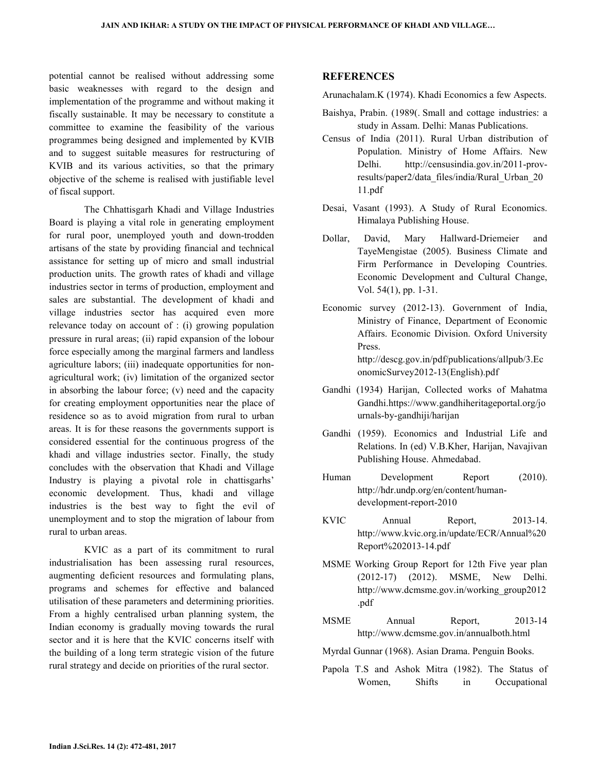potential cannot be realised without addressing some basic weaknesses with regard to the design and implementation of the programme and without making it fiscally sustainable. It may be necessary to constitute a committee to examine the feasibility of the various programmes being designed and implemented by KVIB and to suggest suitable measures for restructuring of KVIB and its various activities, so that the primary objective of the scheme is realised with justifiable level of fiscal support.

The Chhattisgarh Khadi and Village Industries Board is playing a vital role in generating employment for rural poor, unemployed youth and down-trodden artisans of the state by providing financial and technical assistance for setting up of micro and small industrial production units. The growth rates of khadi and village industries sector in terms of production, employment and sales are substantial. The development of khadi and village industries sector has acquired even more relevance today on account of : (i) growing population pressure in rural areas; (ii) rapid expansion of the lobour force especially among the marginal farmers and landless agriculture labors; (iii) inadequate opportunities for nonagricultural work; (iv) limitation of the organized sector in absorbing the labour force; (v) need and the capacity for creating employment opportunities near the place of residence so as to avoid migration from rural to urban areas. It is for these reasons the governments support is considered essential for the continuous progress of the khadi and village industries sector. Finally, the study concludes with the observation that Khadi and Village Industry is playing a pivotal role in chattisgarhs' economic development. Thus, khadi and village industries is the best way to fight the evil of unemployment and to stop the migration of labour from rural to urban areas.

KVIC as a part of its commitment to rural industrialisation has been assessing rural resources, augmenting deficient resources and formulating plans, programs and schemes for effective and balanced utilisation of these parameters and determining priorities. From a highly centralised urban planning system, the Indian economy is gradually moving towards the rural sector and it is here that the KVIC concerns itself with the building of a long term strategic vision of the future rural strategy and decide on priorities of the rural sector.

# **REFERENCES**

Arunachalam.K (1974). Khadi Economics a few Aspects.

- Baishya, Prabin. (1989(. Small and cottage industries: a study in Assam. Delhi: Manas Publications.
- Census of India (2011). Rural Urban distribution of Population. Ministry of Home Affairs. New Delhi. http://censusindia.gov.in/2011-provresults/paper2/data\_files/india/Rural\_Urban\_20 11.pdf
- Desai, Vasant (1993). A Study of Rural Economics. Himalaya Publishing House.
- Dollar, David, Mary Hallward-Driemeier and TayeMengistae (2005). Business Climate and Firm Performance in Developing Countries. Economic Development and Cultural Change, Vol. 54(1), pp. 1-31.
- Economic survey (2012-13). Government of India, Ministry of Finance, Department of Economic Affairs. Economic Division. Oxford University Press. http://descg.gov.in/pdf/publications/allpub/3.Ec onomicSurvey2012-13(English).pdf
- Gandhi (1934) Harijan, Collected works of Mahatma Gandhi.https://www.gandhiheritageportal.org/jo urnals-by-gandhiji/harijan
- Gandhi (1959). Economics and Industrial Life and Relations. In (ed) V.B.Kher, Harijan, Navajivan Publishing House. Ahmedabad.
- Human Development Report (2010). http://hdr.undp.org/en/content/humandevelopment-report-2010
- KVIC Annual Report, 2013-14. http://www.kvic.org.in/update/ECR/Annual%20 Report%202013-14.pdf
- MSME Working Group Report for 12th Five year plan (2012-17) (2012). MSME, New Delhi. http://www.dcmsme.gov.in/working\_group2012 .pdf
- MSME Annual Report, 2013-14 http://www.dcmsme.gov.in/annualboth.html
- Myrdal Gunnar (1968). Asian Drama. Penguin Books.
- Papola T.S and Ashok Mitra (1982). The Status of Women, Shifts in Occupational